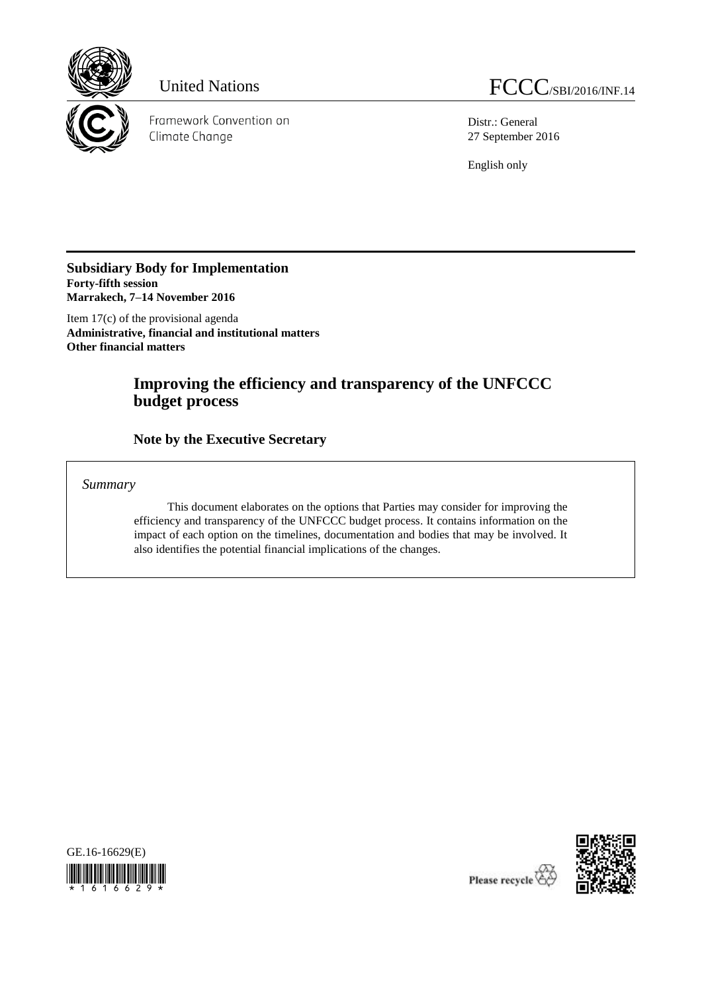

Framework Convention on Climate Change

Distr.: General 27 September 2016

English only

**Subsidiary Body for Implementation Forty-fifth session Marrakech, 7–14 November 2016**

Item 17(c) of the provisional agenda **Administrative, financial and institutional matters Other financial matters**

# **Improving the efficiency and transparency of the UNFCCC budget process**

**Note by the Executive Secretary** 

*Summary*

This document elaborates on the options that Parties may consider for improving the efficiency and transparency of the UNFCCC budget process. It contains information on the impact of each option on the timelines, documentation and bodies that may be involved. It also identifies the potential financial implications of the changes.



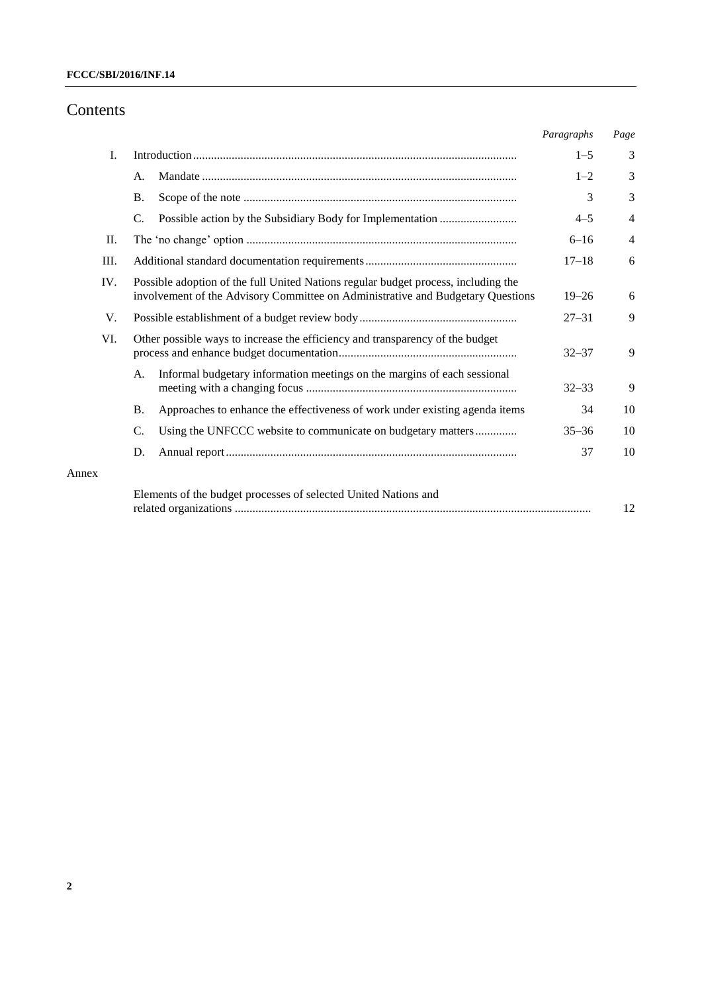## Contents

Annex

|     |                                                                                                                                                                       |                                                                               | Paragraphs | Page           |
|-----|-----------------------------------------------------------------------------------------------------------------------------------------------------------------------|-------------------------------------------------------------------------------|------------|----------------|
| I.  |                                                                                                                                                                       |                                                                               | $1 - 5$    | 3              |
|     | A.                                                                                                                                                                    |                                                                               | $1 - 2$    | 3              |
|     | <b>B.</b>                                                                                                                                                             |                                                                               | 3          | 3              |
|     | C.                                                                                                                                                                    |                                                                               | $4 - 5$    | $\overline{4}$ |
| П.  |                                                                                                                                                                       |                                                                               | $6 - 16$   | $\overline{4}$ |
| Ш.  |                                                                                                                                                                       | $17 - 18$                                                                     | 6          |                |
| IV. | Possible adoption of the full United Nations regular budget process, including the<br>involvement of the Advisory Committee on Administrative and Budgetary Questions | $19 - 26$                                                                     | 6          |                |
| V.  |                                                                                                                                                                       |                                                                               | $27 - 31$  | 9              |
| VI. |                                                                                                                                                                       | Other possible ways to increase the efficiency and transparency of the budget | $32 - 37$  | 9              |
|     | A.                                                                                                                                                                    | Informal budgetary information meetings on the margins of each sessional      | $32 - 33$  | 9              |
|     | <b>B.</b>                                                                                                                                                             | Approaches to enhance the effectiveness of work under existing agenda items   | 34         | 10             |
|     | C.                                                                                                                                                                    | Using the UNFCCC website to communicate on budgetary matters                  | $35 - 36$  | 10             |
|     | D.                                                                                                                                                                    |                                                                               | 37         | 10             |
|     |                                                                                                                                                                       | Elements of the budget processes of selected United Nations and               |            | 12             |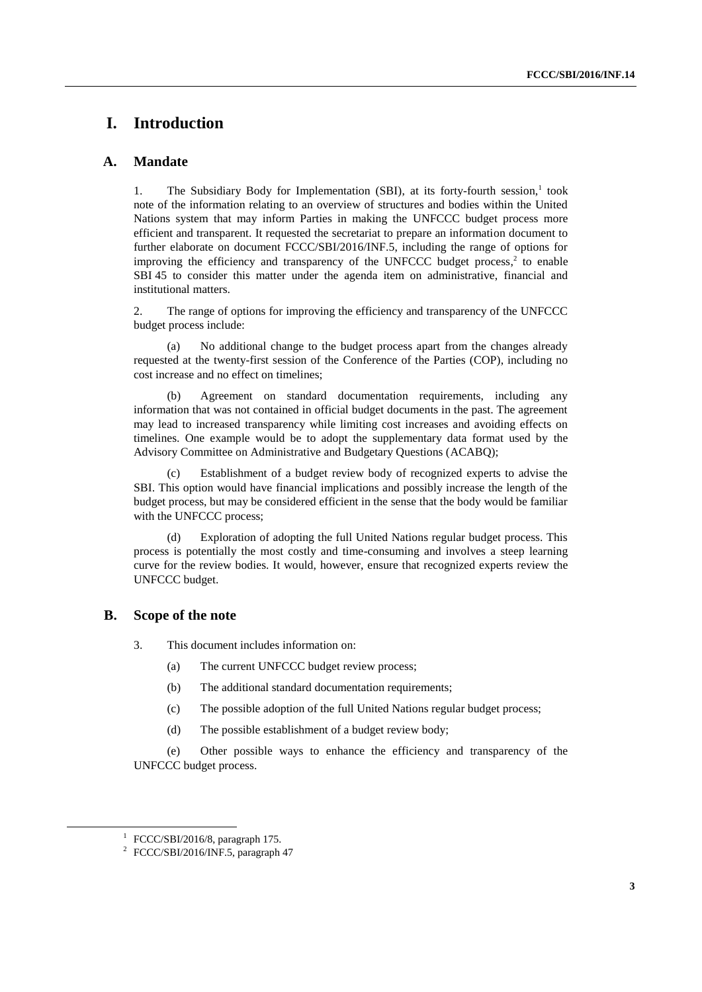## **I. Introduction**

#### **A. Mandate**

1. The Subsidiary Body for Implementation (SBI), at its forty-fourth session,<sup>1</sup> took note of the information relating to an overview of structures and bodies within the United Nations system that may inform Parties in making the UNFCCC budget process more efficient and transparent. It requested the secretariat to prepare an information document to further elaborate on document FCCC/SBI/2016/INF.5, including the range of options for improving the efficiency and transparency of the UNFCCC budget process, $2$  to enable SBI 45 to consider this matter under the agenda item on administrative, financial and institutional matters.

2. The range of options for improving the efficiency and transparency of the UNFCCC budget process include:

(a) No additional change to the budget process apart from the changes already requested at the twenty-first session of the Conference of the Parties (COP), including no cost increase and no effect on timelines;

(b) Agreement on standard documentation requirements, including any information that was not contained in official budget documents in the past. The agreement may lead to increased transparency while limiting cost increases and avoiding effects on timelines. One example would be to adopt the supplementary data format used by the Advisory Committee on Administrative and Budgetary Questions (ACABQ);

Establishment of a budget review body of recognized experts to advise the SBI. This option would have financial implications and possibly increase the length of the budget process, but may be considered efficient in the sense that the body would be familiar with the UNFCCC process;

(d) Exploration of adopting the full United Nations regular budget process. This process is potentially the most costly and time-consuming and involves a steep learning curve for the review bodies. It would, however, ensure that recognized experts review the UNFCCC budget.

#### **B. Scope of the note**

- 3. This document includes information on:
	- (a) The current UNFCCC budget review process;
	- (b) The additional standard documentation requirements;
	- (c) The possible adoption of the full United Nations regular budget process;
	- (d) The possible establishment of a budget review body;

(e) Other possible ways to enhance the efficiency and transparency of the UNFCCC budget process.

 $\overline{a}$ 

 $1$  FCCC/SBI/2016/8, paragraph 175.

<sup>&</sup>lt;sup>2</sup> FCCC/SBI/2016/INF.5, paragraph 47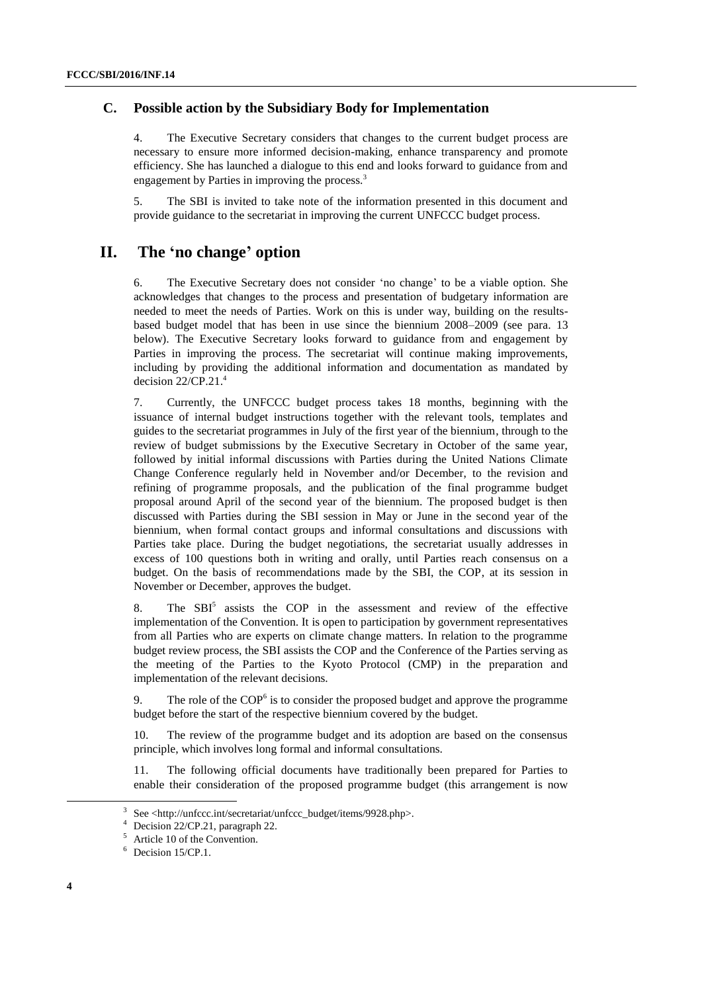#### **C. Possible action by the Subsidiary Body for Implementation**

4. The Executive Secretary considers that changes to the current budget process are necessary to ensure more informed decision-making, enhance transparency and promote efficiency. She has launched a dialogue to this end and looks forward to guidance from and engagement by Parties in improving the process.<sup>3</sup>

5. The SBI is invited to take note of the information presented in this document and provide guidance to the secretariat in improving the current UNFCCC budget process.

## **II. The 'no change' option**

6. The Executive Secretary does not consider 'no change' to be a viable option. She acknowledges that changes to the process and presentation of budgetary information are needed to meet the needs of Parties. Work on this is under way, building on the resultsbased budget model that has been in use since the biennium 2008–2009 (see para. 13 below). The Executive Secretary looks forward to guidance from and engagement by Parties in improving the process. The secretariat will continue making improvements, including by providing the additional information and documentation as mandated by decision  $22/CP.21<sup>4</sup>$ 

7. Currently, the UNFCCC budget process takes 18 months, beginning with the issuance of internal budget instructions together with the relevant tools, templates and guides to the secretariat programmes in July of the first year of the biennium, through to the review of budget submissions by the Executive Secretary in October of the same year, followed by initial informal discussions with Parties during the United Nations Climate Change Conference regularly held in November and/or December, to the revision and refining of programme proposals, and the publication of the final programme budget proposal around April of the second year of the biennium. The proposed budget is then discussed with Parties during the SBI session in May or June in the second year of the biennium, when formal contact groups and informal consultations and discussions with Parties take place. During the budget negotiations, the secretariat usually addresses in excess of 100 questions both in writing and orally, until Parties reach consensus on a budget. On the basis of recommendations made by the SBI, the COP, at its session in November or December, approves the budget.

8. The SBI<sup>5</sup> assists the COP in the assessment and review of the effective implementation of the Convention. It is open to participation by government representatives from all Parties who are experts on climate change matters. In relation to the programme budget review process, the SBI assists the COP and the Conference of the Parties serving as the meeting of the Parties to the Kyoto Protocol (CMP) in the preparation and implementation of the relevant decisions.

9. The role of the  $COP<sup>6</sup>$  is to consider the proposed budget and approve the programme budget before the start of the respective biennium covered by the budget.

10. The review of the programme budget and its adoption are based on the consensus principle, which involves long formal and informal consultations.

11. The following official documents have traditionally been prepared for Parties to enable their consideration of the proposed programme budget (this arrangement is now

<sup>3</sup> See <http://unfccc.int/secretariat/unfccc\_budget/items/9928.php>.

Decision 22/CP.21, paragraph 22.

<sup>5</sup> Article 10 of the Convention.

<sup>6</sup> Decision 15/CP.1.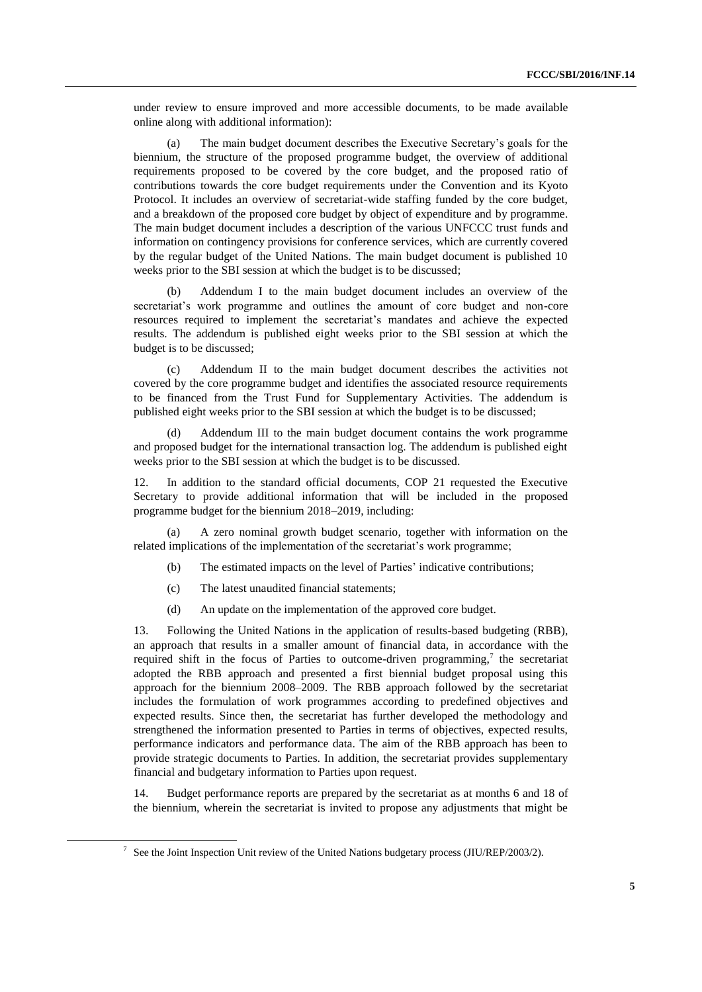under review to ensure improved and more accessible documents, to be made available online along with additional information):

(a) The main budget document describes the Executive Secretary's goals for the biennium, the structure of the proposed programme budget, the overview of additional requirements proposed to be covered by the core budget, and the proposed ratio of contributions towards the core budget requirements under the Convention and its Kyoto Protocol. It includes an overview of secretariat-wide staffing funded by the core budget, and a breakdown of the proposed core budget by object of expenditure and by programme. The main budget document includes a description of the various UNFCCC trust funds and information on contingency provisions for conference services, which are currently covered by the regular budget of the United Nations. The main budget document is published 10 weeks prior to the SBI session at which the budget is to be discussed;

(b) Addendum I to the main budget document includes an overview of the secretariat's work programme and outlines the amount of core budget and non-core resources required to implement the secretariat's mandates and achieve the expected results. The addendum is published eight weeks prior to the SBI session at which the budget is to be discussed;

(c) Addendum II to the main budget document describes the activities not covered by the core programme budget and identifies the associated resource requirements to be financed from the Trust Fund for Supplementary Activities. The addendum is published eight weeks prior to the SBI session at which the budget is to be discussed;

Addendum III to the main budget document contains the work programme and proposed budget for the international transaction log. The addendum is published eight weeks prior to the SBI session at which the budget is to be discussed.

12. In addition to the standard official documents, COP 21 requested the Executive Secretary to provide additional information that will be included in the proposed programme budget for the biennium 2018–2019, including:

(a) A zero nominal growth budget scenario, together with information on the related implications of the implementation of the secretariat's work programme;

- (b) The estimated impacts on the level of Parties' indicative contributions;
- (c) The latest unaudited financial statements;

-

(d) An update on the implementation of the approved core budget.

13. Following the United Nations in the application of results-based budgeting (RBB), an approach that results in a smaller amount of financial data, in accordance with the required shift in the focus of Parties to outcome-driven programming,<sup>7</sup> the secretariat adopted the RBB approach and presented a first biennial budget proposal using this approach for the biennium 2008–2009. The RBB approach followed by the secretariat includes the formulation of work programmes according to predefined objectives and expected results. Since then, the secretariat has further developed the methodology and strengthened the information presented to Parties in terms of objectives, expected results, performance indicators and performance data. The aim of the RBB approach has been to provide strategic documents to Parties. In addition, the secretariat provides supplementary financial and budgetary information to Parties upon request.

14. Budget performance reports are prepared by the secretariat as at months 6 and 18 of the biennium, wherein the secretariat is invited to propose any adjustments that might be

 $\frac{7}{10}$  See the Joint Inspection Unit review of the United Nations budgetary process (JIU/REP/2003/2).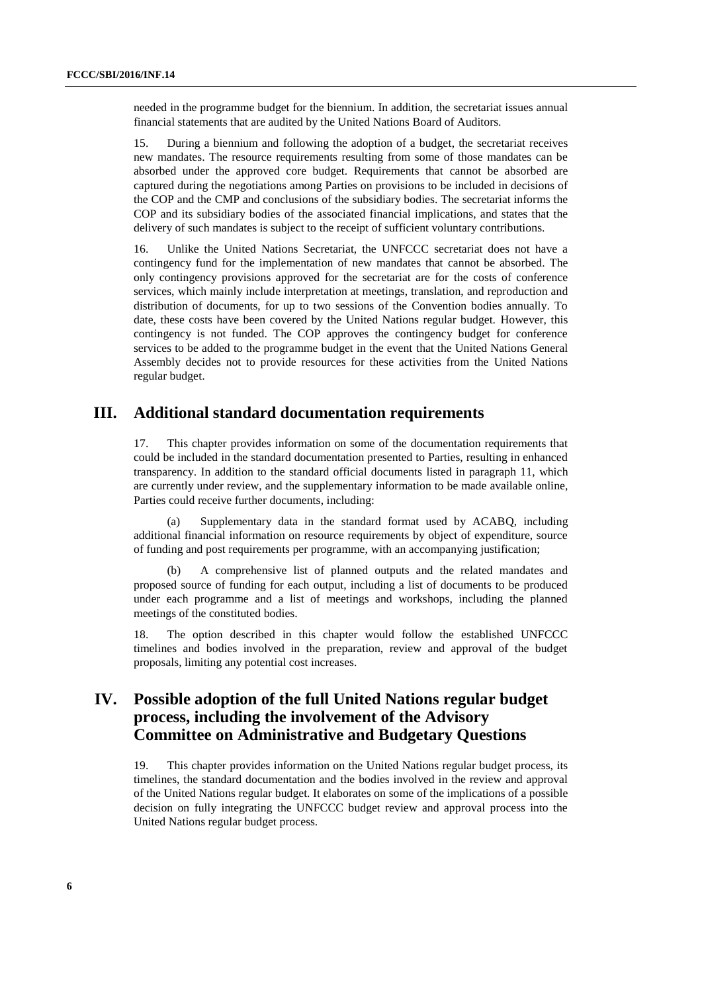needed in the programme budget for the biennium. In addition, the secretariat issues annual financial statements that are audited by the United Nations Board of Auditors.

15. During a biennium and following the adoption of a budget, the secretariat receives new mandates. The resource requirements resulting from some of those mandates can be absorbed under the approved core budget. Requirements that cannot be absorbed are captured during the negotiations among Parties on provisions to be included in decisions of the COP and the CMP and conclusions of the subsidiary bodies. The secretariat informs the COP and its subsidiary bodies of the associated financial implications, and states that the delivery of such mandates is subject to the receipt of sufficient voluntary contributions.

16. Unlike the United Nations Secretariat, the UNFCCC secretariat does not have a contingency fund for the implementation of new mandates that cannot be absorbed. The only contingency provisions approved for the secretariat are for the costs of conference services, which mainly include interpretation at meetings, translation, and reproduction and distribution of documents, for up to two sessions of the Convention bodies annually. To date, these costs have been covered by the United Nations regular budget. However, this contingency is not funded. The COP approves the contingency budget for conference services to be added to the programme budget in the event that the United Nations General Assembly decides not to provide resources for these activities from the United Nations regular budget.

### **III. Additional standard documentation requirements**

17. This chapter provides information on some of the documentation requirements that could be included in the standard documentation presented to Parties, resulting in enhanced transparency. In addition to the standard official documents listed in paragraph 11, which are currently under review, and the supplementary information to be made available online, Parties could receive further documents, including:

Supplementary data in the standard format used by ACABQ, including additional financial information on resource requirements by object of expenditure, source of funding and post requirements per programme, with an accompanying justification;

(b) A comprehensive list of planned outputs and the related mandates and proposed source of funding for each output, including a list of documents to be produced under each programme and a list of meetings and workshops, including the planned meetings of the constituted bodies.

18. The option described in this chapter would follow the established UNFCCC timelines and bodies involved in the preparation, review and approval of the budget proposals, limiting any potential cost increases.

## **IV. Possible adoption of the full United Nations regular budget process, including the involvement of the Advisory Committee on Administrative and Budgetary Questions**

19. This chapter provides information on the United Nations regular budget process, its timelines, the standard documentation and the bodies involved in the review and approval of the United Nations regular budget. It elaborates on some of the implications of a possible decision on fully integrating the UNFCCC budget review and approval process into the United Nations regular budget process.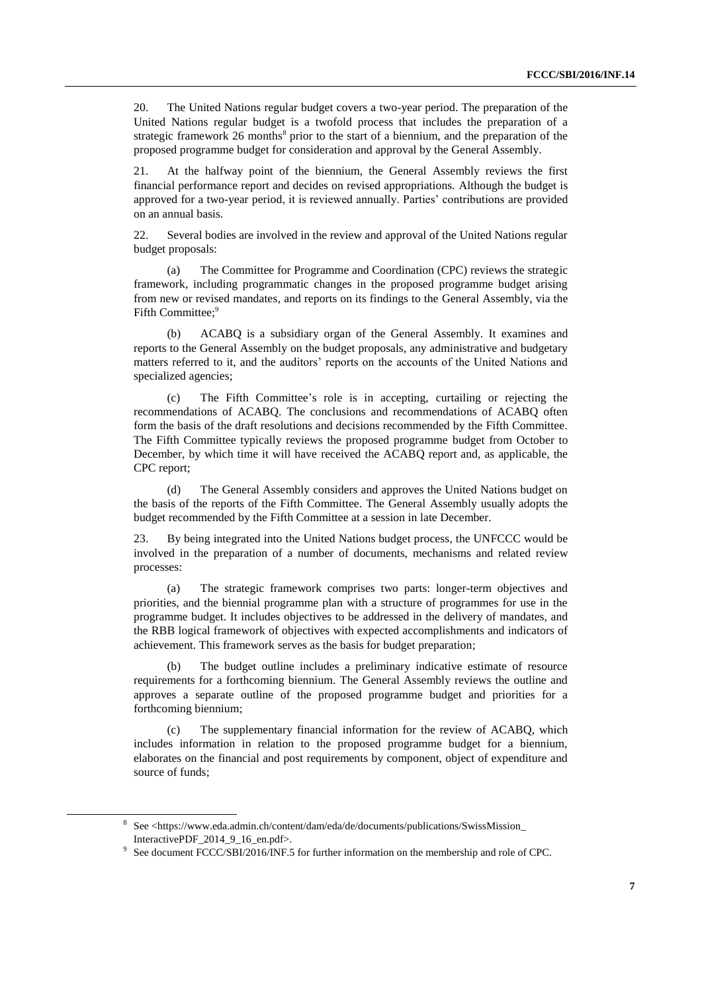20. The United Nations regular budget covers a two-year period. The preparation of the United Nations regular budget is a twofold process that includes the preparation of a strategic framework 26 months<sup>8</sup> prior to the start of a biennium, and the preparation of the proposed programme budget for consideration and approval by the General Assembly.

21. At the halfway point of the biennium, the General Assembly reviews the first financial performance report and decides on revised appropriations. Although the budget is approved for a two-year period, it is reviewed annually. Parties' contributions are provided on an annual basis.

22. Several bodies are involved in the review and approval of the United Nations regular budget proposals:

(a) The Committee for Programme and Coordination (CPC) reviews the strategic framework, including programmatic changes in the proposed programme budget arising from new or revised mandates, and reports on its findings to the General Assembly, via the Fifth Committee;<sup>9</sup>

(b) ACABQ is a subsidiary organ of the General Assembly. It examines and reports to the General Assembly on the budget proposals, any administrative and budgetary matters referred to it, and the auditors' reports on the accounts of the United Nations and specialized agencies;

(c) The Fifth Committee's role is in accepting, curtailing or rejecting the recommendations of ACABQ. The conclusions and recommendations of ACABQ often form the basis of the draft resolutions and decisions recommended by the Fifth Committee. The Fifth Committee typically reviews the proposed programme budget from October to December, by which time it will have received the ACABQ report and, as applicable, the CPC report;

(d) The General Assembly considers and approves the United Nations budget on the basis of the reports of the Fifth Committee. The General Assembly usually adopts the budget recommended by the Fifth Committee at a session in late December.

23. By being integrated into the United Nations budget process, the UNFCCC would be involved in the preparation of a number of documents, mechanisms and related review processes:

(a) The strategic framework comprises two parts: longer-term objectives and priorities, and the biennial programme plan with a structure of programmes for use in the programme budget. It includes objectives to be addressed in the delivery of mandates, and the RBB logical framework of objectives with expected accomplishments and indicators of achievement. This framework serves as the basis for budget preparation;

(b) The budget outline includes a preliminary indicative estimate of resource requirements for a forthcoming biennium. The General Assembly reviews the outline and approves a separate outline of the proposed programme budget and priorities for a forthcoming biennium;

(c) The supplementary financial information for the review of ACABQ, which includes information in relation to the proposed programme budget for a biennium, elaborates on the financial and post requirements by component, object of expenditure and source of funds;

<sup>8</sup> See <https://www.eda.admin.ch/content/dam/eda/de/documents/publications/SwissMission\_ InteractivePDF\_2014\_9\_16\_en.pdf>.

<sup>&</sup>lt;sup>9</sup> See document FCCC/SBI/2016/INF.5 for further information on the membership and role of CPC.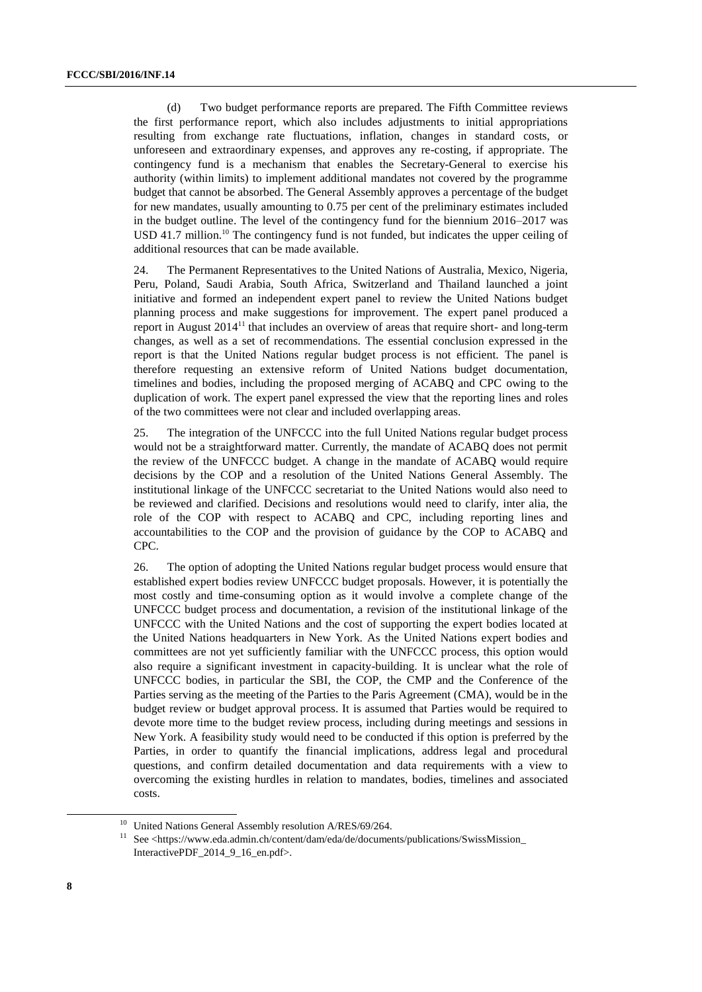(d) Two budget performance reports are prepared. The Fifth Committee reviews the first performance report, which also includes adjustments to initial appropriations resulting from exchange rate fluctuations, inflation, changes in standard costs, or unforeseen and extraordinary expenses, and approves any re-costing, if appropriate. The contingency fund is a mechanism that enables the Secretary-General to exercise his authority (within limits) to implement additional mandates not covered by the programme budget that cannot be absorbed. The General Assembly approves a percentage of the budget for new mandates, usually amounting to 0.75 per cent of the preliminary estimates included in the budget outline. The level of the contingency fund for the biennium 2016–2017 was USD 41.7 million.<sup>10</sup> The contingency fund is not funded, but indicates the upper ceiling of additional resources that can be made available.

24. The Permanent Representatives to the United Nations of Australia, Mexico, Nigeria, Peru, Poland, Saudi Arabia, South Africa, Switzerland and Thailand launched a joint initiative and formed an independent expert panel to review the United Nations budget planning process and make suggestions for improvement. The expert panel produced a report in August  $2014<sup>11</sup>$  that includes an overview of areas that require short- and long-term changes, as well as a set of recommendations. The essential conclusion expressed in the report is that the United Nations regular budget process is not efficient. The panel is therefore requesting an extensive reform of United Nations budget documentation, timelines and bodies, including the proposed merging of ACABQ and CPC owing to the duplication of work. The expert panel expressed the view that the reporting lines and roles of the two committees were not clear and included overlapping areas.

25. The integration of the UNFCCC into the full United Nations regular budget process would not be a straightforward matter. Currently, the mandate of ACABQ does not permit the review of the UNFCCC budget. A change in the mandate of ACABQ would require decisions by the COP and a resolution of the United Nations General Assembly. The institutional linkage of the UNFCCC secretariat to the United Nations would also need to be reviewed and clarified. Decisions and resolutions would need to clarify, inter alia, the role of the COP with respect to ACABQ and CPC, including reporting lines and accountabilities to the COP and the provision of guidance by the COP to ACABQ and CPC.

26. The option of adopting the United Nations regular budget process would ensure that established expert bodies review UNFCCC budget proposals. However, it is potentially the most costly and time-consuming option as it would involve a complete change of the UNFCCC budget process and documentation, a revision of the institutional linkage of the UNFCCC with the United Nations and the cost of supporting the expert bodies located at the United Nations headquarters in New York. As the United Nations expert bodies and committees are not yet sufficiently familiar with the UNFCCC process, this option would also require a significant investment in capacity-building. It is unclear what the role of UNFCCC bodies, in particular the SBI, the COP, the CMP and the Conference of the Parties serving as the meeting of the Parties to the Paris Agreement (CMA), would be in the budget review or budget approval process. It is assumed that Parties would be required to devote more time to the budget review process, including during meetings and sessions in New York. A feasibility study would need to be conducted if this option is preferred by the Parties, in order to quantify the financial implications, address legal and procedural questions, and confirm detailed documentation and data requirements with a view to overcoming the existing hurdles in relation to mandates, bodies, timelines and associated costs.

<sup>&</sup>lt;sup>10</sup> United Nations General Assembly resolution  $A/RES/69/264$ .<br><sup>11</sup> See chttps://www.eda.admin.ch/content/dam/eda/de/documen

<sup>11</sup> See <https://www.eda.admin.ch/content/dam/eda/de/documents/publications/SwissMission\_ InteractivePDF\_2014\_9\_16\_en.pdf>.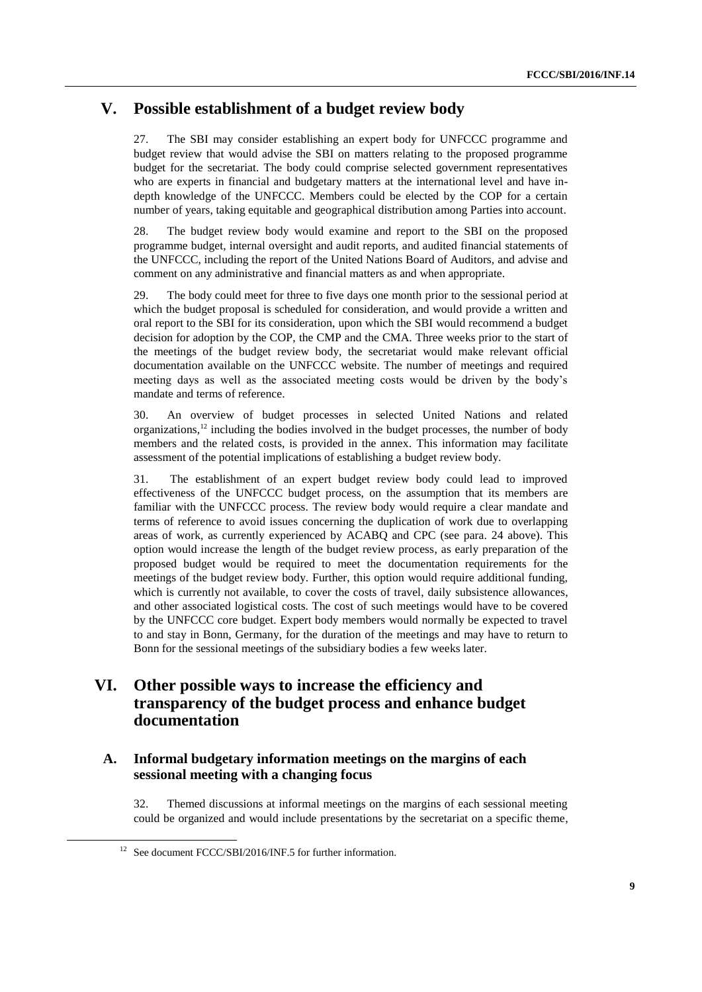## **V. Possible establishment of a budget review body**

27. The SBI may consider establishing an expert body for UNFCCC programme and budget review that would advise the SBI on matters relating to the proposed programme budget for the secretariat. The body could comprise selected government representatives who are experts in financial and budgetary matters at the international level and have indepth knowledge of the UNFCCC. Members could be elected by the COP for a certain number of years, taking equitable and geographical distribution among Parties into account.

28. The budget review body would examine and report to the SBI on the proposed programme budget, internal oversight and audit reports, and audited financial statements of the UNFCCC, including the report of the United Nations Board of Auditors, and advise and comment on any administrative and financial matters as and when appropriate.

29. The body could meet for three to five days one month prior to the sessional period at which the budget proposal is scheduled for consideration, and would provide a written and oral report to the SBI for its consideration, upon which the SBI would recommend a budget decision for adoption by the COP, the CMP and the CMA. Three weeks prior to the start of the meetings of the budget review body, the secretariat would make relevant official documentation available on the UNFCCC website. The number of meetings and required meeting days as well as the associated meeting costs would be driven by the body's mandate and terms of reference.

30. An overview of budget processes in selected United Nations and related organizations,<sup>12</sup> including the bodies involved in the budget processes, the number of body members and the related costs, is provided in the annex. This information may facilitate assessment of the potential implications of establishing a budget review body.

31. The establishment of an expert budget review body could lead to improved effectiveness of the UNFCCC budget process, on the assumption that its members are familiar with the UNFCCC process. The review body would require a clear mandate and terms of reference to avoid issues concerning the duplication of work due to overlapping areas of work, as currently experienced by ACABQ and CPC (see para. 24 above). This option would increase the length of the budget review process, as early preparation of the proposed budget would be required to meet the documentation requirements for the meetings of the budget review body. Further, this option would require additional funding, which is currently not available, to cover the costs of travel, daily subsistence allowances, and other associated logistical costs. The cost of such meetings would have to be covered by the UNFCCC core budget. Expert body members would normally be expected to travel to and stay in Bonn, Germany, for the duration of the meetings and may have to return to Bonn for the sessional meetings of the subsidiary bodies a few weeks later.

## **VI. Other possible ways to increase the efficiency and transparency of the budget process and enhance budget documentation**

#### **A. Informal budgetary information meetings on the margins of each sessional meeting with a changing focus**

32. Themed discussions at informal meetings on the margins of each sessional meeting could be organized and would include presentations by the secretariat on a specific theme,

<sup>&</sup>lt;sup>12</sup> See document FCCC/SBI/2016/INF.5 for further information.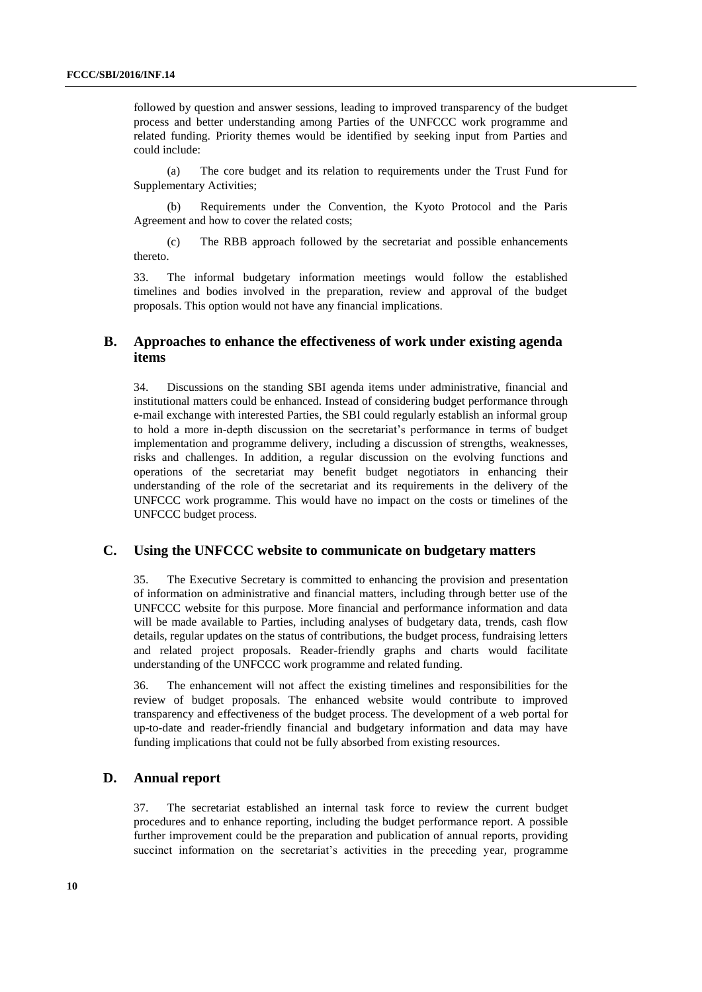followed by question and answer sessions, leading to improved transparency of the budget process and better understanding among Parties of the UNFCCC work programme and related funding. Priority themes would be identified by seeking input from Parties and could include:

(a) The core budget and its relation to requirements under the Trust Fund for Supplementary Activities;

(b) Requirements under the Convention, the Kyoto Protocol and the Paris Agreement and how to cover the related costs;

(c) The RBB approach followed by the secretariat and possible enhancements thereto.

33. The informal budgetary information meetings would follow the established timelines and bodies involved in the preparation, review and approval of the budget proposals. This option would not have any financial implications.

#### **B. Approaches to enhance the effectiveness of work under existing agenda items**

34. Discussions on the standing SBI agenda items under administrative, financial and institutional matters could be enhanced. Instead of considering budget performance through e-mail exchange with interested Parties, the SBI could regularly establish an informal group to hold a more in-depth discussion on the secretariat's performance in terms of budget implementation and programme delivery, including a discussion of strengths, weaknesses, risks and challenges. In addition, a regular discussion on the evolving functions and operations of the secretariat may benefit budget negotiators in enhancing their understanding of the role of the secretariat and its requirements in the delivery of the UNFCCC work programme. This would have no impact on the costs or timelines of the UNFCCC budget process.

#### **C. Using the UNFCCC website to communicate on budgetary matters**

35. The Executive Secretary is committed to enhancing the provision and presentation of information on administrative and financial matters, including through better use of the UNFCCC website for this purpose. More financial and performance information and data will be made available to Parties, including analyses of budgetary data, trends, cash flow details, regular updates on the status of contributions, the budget process, fundraising letters and related project proposals. Reader-friendly graphs and charts would facilitate understanding of the UNFCCC work programme and related funding.

36. The enhancement will not affect the existing timelines and responsibilities for the review of budget proposals. The enhanced website would contribute to improved transparency and effectiveness of the budget process. The development of a web portal for up-to-date and reader-friendly financial and budgetary information and data may have funding implications that could not be fully absorbed from existing resources.

#### **D. Annual report**

37. The secretariat established an internal task force to review the current budget procedures and to enhance reporting, including the budget performance report. A possible further improvement could be the preparation and publication of annual reports, providing succinct information on the secretariat's activities in the preceding year, programme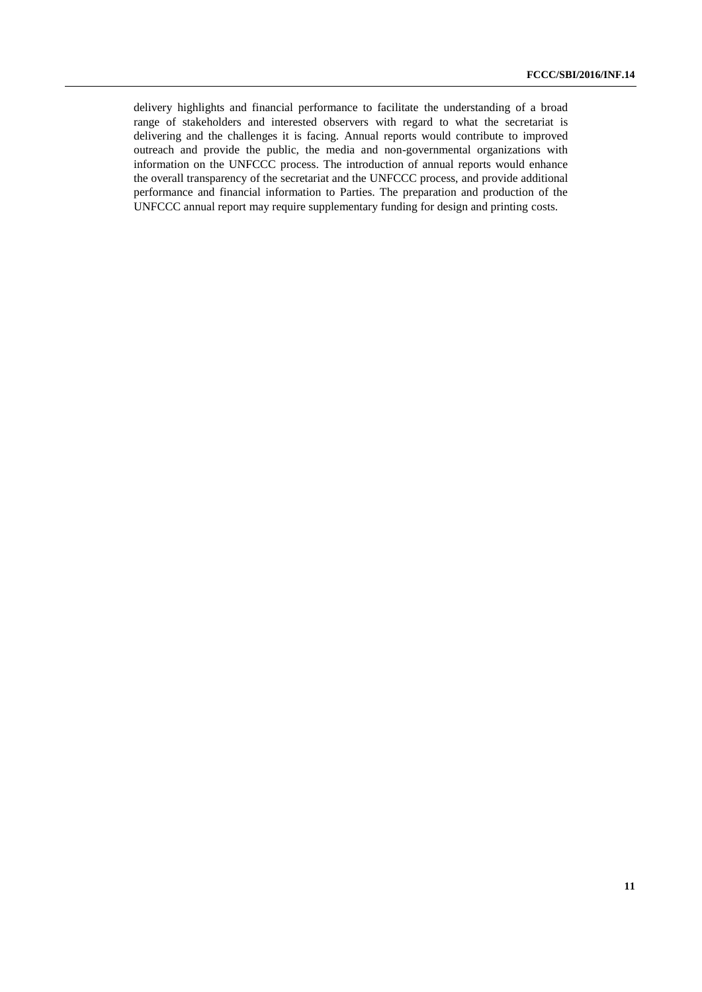delivery highlights and financial performance to facilitate the understanding of a broad range of stakeholders and interested observers with regard to what the secretariat is delivering and the challenges it is facing. Annual reports would contribute to improved outreach and provide the public, the media and non-governmental organizations with information on the UNFCCC process. The introduction of annual reports would enhance the overall transparency of the secretariat and the UNFCCC process, and provide additional performance and financial information to Parties. The preparation and production of the UNFCCC annual report may require supplementary funding for design and printing costs.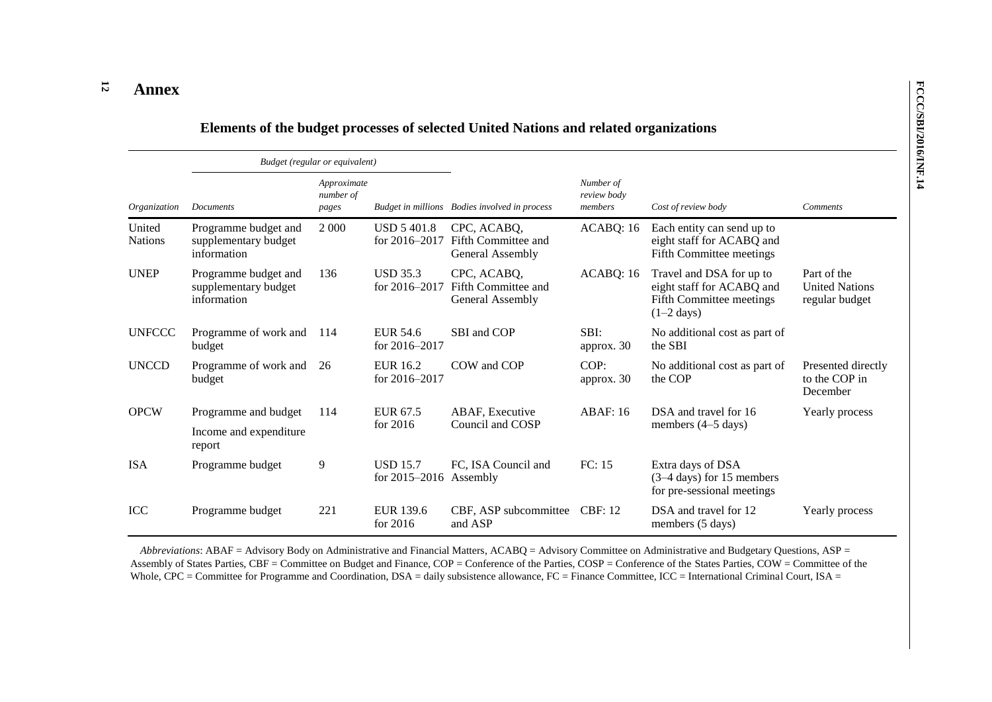#### **12 Annex**

|                          |                                                             | Budget (regular or equivalent)    |                                             |                                                        |                                     |                                                                                                   |                                                        |
|--------------------------|-------------------------------------------------------------|-----------------------------------|---------------------------------------------|--------------------------------------------------------|-------------------------------------|---------------------------------------------------------------------------------------------------|--------------------------------------------------------|
| Organization             | <b>Documents</b>                                            | Approximate<br>number of<br>pages |                                             | Budget in millions Bodies involved in process          | Number of<br>review body<br>members | Cost of review body                                                                               | <b>Comments</b>                                        |
| United<br><b>Nations</b> | Programme budget and<br>supplementary budget<br>information | 2 0 0 0                           | <b>USD 5401.8</b><br>for 2016-2017          | CPC, ACABQ,<br>Fifth Committee and<br>General Assembly | ACABQ: 16                           | Each entity can send up to<br>eight staff for ACABQ and<br>Fifth Committee meetings               |                                                        |
| <b>UNEP</b>              | Programme budget and<br>supplementary budget<br>information | 136                               | <b>USD 35.3</b><br>for $2016 - 2017$        | CPC, ACABQ,<br>Fifth Committee and<br>General Assembly | ACABQ: 16                           | Travel and DSA for up to<br>eight staff for ACABQ and<br>Fifth Committee meetings<br>$(1-2$ days) | Part of the<br><b>United Nations</b><br>regular budget |
| <b>UNFCCC</b>            | Programme of work and<br>budget                             | 114                               | EUR 54.6<br>for $2016 - 2017$               | SBI and COP                                            | SBI:<br>approx. 30                  | No additional cost as part of<br>the SBI                                                          |                                                        |
| <b>UNCCD</b>             | Programme of work and<br>budget                             | 26                                | EUR 16.2<br>for 2016-2017                   | COW and COP                                            | COP:<br>approx. 30                  | No additional cost as part of<br>the COP                                                          | Presented directly<br>to the COP in<br>December        |
| <b>OPCW</b>              | Programme and budget                                        | 114                               | EUR 67.5<br>for 2016                        | ABAF, Executive<br>Council and COSP                    | ABAF:16                             | DSA and travel for 16<br>members (4–5 days)                                                       | Yearly process                                         |
|                          | Income and expenditure<br>report                            |                                   |                                             |                                                        |                                     |                                                                                                   |                                                        |
| <b>ISA</b>               | Programme budget                                            | 9                                 | <b>USD 15.7</b><br>for $2015-2016$ Assembly | FC, ISA Council and                                    | FC: 15                              | Extra days of DSA<br>(3-4 days) for 15 members<br>for pre-sessional meetings                      |                                                        |
| <b>ICC</b>               | Programme budget                                            | 221                               | EUR 139.6<br>for 2016                       | CBF, ASP subcommittee<br>and ASP                       | <b>CBF: 12</b>                      | DSA and travel for 12<br>members (5 days)                                                         | Yearly process                                         |

## **Elements of the budget processes of selected United Nations and related organizations**

*Abbreviations*: ABAF = Advisory Body on Administrative and Financial Matters, ACABQ = Advisory Committee on Administrative and Budgetary Questions, ASP = Assembly of States Parties, CBF = Committee on Budget and Finance, COP = Conference of the Parties, COSP = Conference of the States Parties, COW = Committee of the Whole, CPC = Committee for Programme and Coordination, DSA = daily subsistence allowance, FC = Finance Committee, ICC = International Criminal Court, ISA =